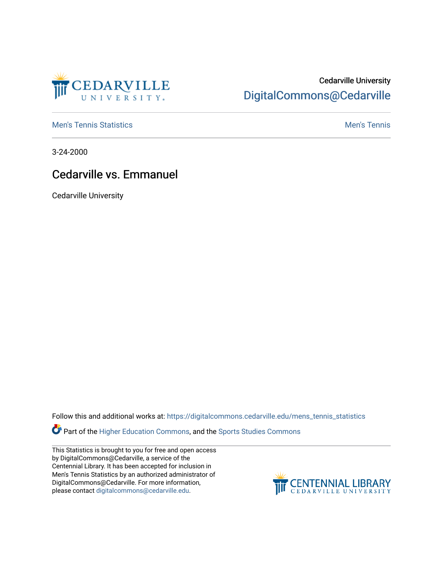

## Cedarville University [DigitalCommons@Cedarville](https://digitalcommons.cedarville.edu/)

**[Men's Tennis Statistics](https://digitalcommons.cedarville.edu/mens_tennis_statistics) Mental According to the Control of Control According Mental Men's Tennis** 

3-24-2000

## Cedarville vs. Emmanuel

Cedarville University

Follow this and additional works at: [https://digitalcommons.cedarville.edu/mens\\_tennis\\_statistics](https://digitalcommons.cedarville.edu/mens_tennis_statistics?utm_source=digitalcommons.cedarville.edu%2Fmens_tennis_statistics%2F474&utm_medium=PDF&utm_campaign=PDFCoverPages)

Part of the [Higher Education Commons,](http://network.bepress.com/hgg/discipline/1245?utm_source=digitalcommons.cedarville.edu%2Fmens_tennis_statistics%2F474&utm_medium=PDF&utm_campaign=PDFCoverPages) and the [Sports Studies Commons](http://network.bepress.com/hgg/discipline/1198?utm_source=digitalcommons.cedarville.edu%2Fmens_tennis_statistics%2F474&utm_medium=PDF&utm_campaign=PDFCoverPages) 

This Statistics is brought to you for free and open access by DigitalCommons@Cedarville, a service of the Centennial Library. It has been accepted for inclusion in Men's Tennis Statistics by an authorized administrator of DigitalCommons@Cedarville. For more information, please contact [digitalcommons@cedarville.edu](mailto:digitalcommons@cedarville.edu).